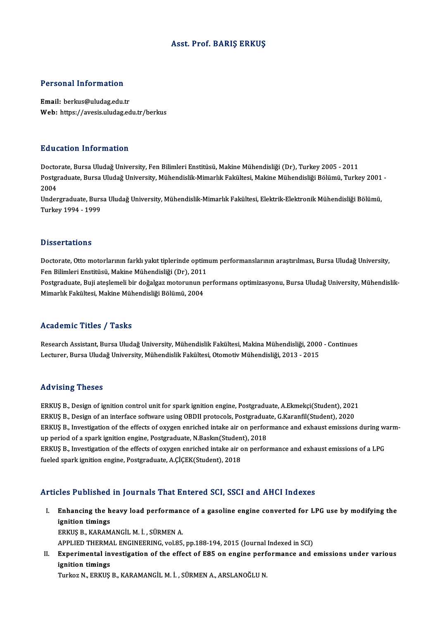# Asst. Prof. BARIŞ ERKUŞ

# Personal Information

Email: berkus@uludag.edu.tr Web: https://avesis.uludag.edu.tr/berkus

## Education Information

**Education Information<br>Doctorate, Bursa Uludağ University, Fen Bilimleri Enstitüsü, Makine Mühendisliği (Dr), Turkey 2005 - 2011<br>Postsraduata Bursa Uludağ University, Mühendislik Mimarlık Fakültesi, Makine Mühendisliği Böl** Postgraduate, Bursa Uludağ University, Mühendislik-Mimarlık Fakültesi, Makine Mühendisliği Bölümü, Turkey 2001 -<br>2004 Docto<br>Postgi<br>2004<br>Under Postgraduate, Bursa Uludağ University, Mühendislik-Mimarlık Fakültesi, Makine Mühendisliği Bölümü, Turkey 2001<br>2004<br>Undergraduate, Bursa Uludağ University, Mühendislik-Mimarlık Fakültesi, Elektrik-Elektronik Mühendisliği B

2004<br>Undergraduate, Burs<br>Turkey 1994 - 1999 Turkey 1994 - 1999<br>Dissertations

Dissertations<br>Doctorate, Otto motorlarının farklı yakıt tiplerinde optimum performanslarının araştırılması, Bursa Uludağ University,<br>Fen Bilimleri Enstitüsü, Makine Mühendieliği (Dr.), 2011 Basser tatrons<br>Doctorate, Otto motorlarının farklı yakıt tiplerinde optim<br>Fen Bilimleri Enstitüsü, Makine Mühendisliği (Dr), 2011<br>Postanaduate, Buji staslameli bir doğalası materunun pa Doctorate, Otto motorlarının farklı yakıt tiplerinde optimum performanslarının araştırılması, Bursa Uludağ University,<br>Fen Bilimleri Enstitüsü, Makine Mühendisliği (Dr), 2011<br>Postgraduate, Buji ateşlemeli bir doğalgaz moto

Fen Bilimleri Enstitüsü, Makine Mühendisliği (Dr), 2011<br>Postgraduate, Buji ateşlemeli bir doğalgaz motorunun performans optimizasyonu, Bursa Uludağ University, Mühendislik-<br>Mimarlık Fakültesi, Makine Mühendisliği Bölümü, 2

# Academic Titles / Tasks

Academic Titles / Tasks<br>Research Assistant, Bursa Uludağ University, Mühendislik Fakültesi, Makina Mühendisliği, 2000 - Continues<br>Lesturer, Bursa Uludağ University, Mühendislik Fakültesi, Otemetiy Mühendisliği, 2012, 2015 110aa SIII o 11008 7<br>Research Assistant, Bursa Uludağ University, Mühendislik Fakültesi, Makina Mühendisliği, 2000<br>Lecturer, Bursa Uludağ University, Mühendislik Fakültesi, Otomotiv Mühendisliği, 2013 - 2015 Lecturer, Bursa Uludağ University, Mühendislik Fakültesi, Otomotiv Mühendisliği, 2013 - 2015<br>Advising Theses

ERKUŞ B., Design of ignition control unit for spark ignition engine, Postgraduate, A.Ekmekçi(Student), 2021 rta violing in 1999<br>ERKUŞ B., Design of ignition control unit for spark ignition engine, Postgraduate, A.Ekmekçi(Student), 2021<br>ERKUŞ B., Design of an interface software using OBDII protocols, Postgraduate, G.Karanfil(Stud ERKUŞ B., Design of ignition control unit for spark ignition engine, Postgraduate, A.Ekmekçi(Student), 2021<br>ERKUŞ B., Design of an interface software using OBDII protocols, Postgraduate, G.Karanfil(Student), 2020<br>ERKUŞ B., ERKUŞ B., Design of an interface software using OBDII protocols, Postgradua<br>ERKUŞ B., Investigation of the effects of oxygen enriched intake air on perfor<br>up period of a spark ignition engine, Postgraduate, N.Baskın(Studen ERKUŞ B., Investigation of the effects of oxygen enriched intake air on performance and exhaust emissions during warm-<br>up period of a spark ignition engine, Postgraduate, N.Baskın(Student), 2018<br>ERKUŞ B., Investigation of up period of a spark ignition engine, Postgraduate, N.Baskin(Student), 2018

# Articles Published in Journals That Entered SCI, SSCI and AHCI Indexes

rticles Published in Journals That Entered SCI, SSCI and AHCI Indexes<br>I. Enhancing the heavy load performance of a gasoline engine converted for LPG use by modifying the<br>ignition timings Enhancing the highition timings<br>Environ timings Enhancing the heavy load performane<br>ignition timings<br>ERKUŞ B., KARAMANGİL M. İ. , SÜRMEN A.<br>APRLIED THERMAL ENCINEERING valası ignition timings<br>ERKUŞ B., KARAMANGİL M. İ. , SÜRMEN A.<br>APPLIED THERMAL ENGINEERING, vol.85, pp.188-194, 2015 (Journal Indexed in SCI)<br>Eunonimental investission of the offest of E85 on ensine norformanee and 4

ERKUŞ B., KARAMANGİL M. İ. , SÜRMEN A.<br>APPLIED THERMAL ENGINEERING, vol.85, pp.188-194, 2015 (Journal Indexed in SCI)<br>II. Experimental investigation of the effect of E85 on engine performance and emissions under various<br>ig APPLIED THERMA<br>Experimental in<br>ignition timings<br>Turker N. EPKUS

Turkoz N., ERKUŞ B., KARAMANGİL M. İ. , SÜRMEN A., ARSLANOĞLU N.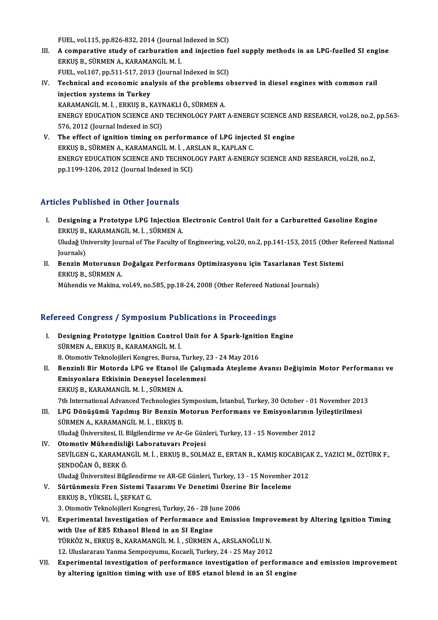FUEL, vol.115, pp.826-832, 2014 (Journal Indexed in SCI)

- FUEL, vol.115, pp.826-832, 2014 (Journal Indexed in SCI)<br>III. A comparative study of carburation and injection fuel supply methods in an LPG-fuelled SI engine ERKUŞB.,SÜRMENA.,KARAMANGİLM. İ. A comparative study of carburation and injection f<br>ERKUŞ B., SÜRMEN A., KARAMANGİL M. İ.<br>FUEL, vol.107, pp.511-517, 2013 (Journal Indexed in SCI)<br>Technisel and esenemis analysis of the problems a ERKUŞ B., SÜRMEN A., KARAMANGİL M. İ.<br>FUEL, vol.107, pp.511-517, 2013 (Journal Indexed in SCI)<br>IV. Technical and economic analysis of the problems observed in diesel engines with common rail<br>injection systems in Turkey
- FUEL, vol.107, pp.511-517, 2013 (Journal Indexed in SCI)<br>Technical and economic analysis of the problems o<br>injection systems in Turkey<br>KARAMANGIL M. I., ERKUS B., KAYNAKLI Ö., SÜRMEN A. Technical and economic analysis of the problems<br>injection systems in Turkey<br>KARAMANGİL M. İ., ERKUŞ B., KAYNAKLI Ö., SÜRMEN A.<br>ENEPCY EDUCATION SCIENCE AND TECHNOLOCY PAPT injection systems in Turkey<br>KARAMANGİL M. İ. , ERKUŞ B., KAYNAKLI Ö., SÜRMEN A.<br>ENERGY EDUCATION SCIENCE AND TECHNOLOGY PART A-ENERGY SCIENCE AND RESEARCH, vol.28, no.2, pp.563-<br>576-2012 (Jaurnal Indoved in SCD KARAMANGİL M. İ. , ERKUŞ B., KAYI<br>ENERGY EDUCATION SCIENCE AND<br>576, 2012 (Journal Indexed in SCI)<br>The effect of innition timing on ENERGY EDUCATION SCIENCE AND TECHNOLOGY PART A-ENERGY SCIENCE AN<br>576, 2012 (Journal Indexed in SCI)<br>V. The effect of ignition timing on performance of LPG injected SI engine<br>EDVIS P. SUDMEN A. KARAMANCU M.J. ARSLAN B. KARL
- 576, 2012 (Journal Indexed in SCI)<br>The effect of ignition timing on performance of LPG inject<br>ERKUŞ B., SÜRMEN A., KARAMANGİL M. İ. , ARSLAN R., KAPLAN C.<br>ENERCY EDUCATION SCIENCE AND TECHNOLOCY BART A ENERC ENERGY EDUCATION SCIENCE AND TECHNOLOGY PART A-ENERGY SCIENCE AND RESEARCH, vol.28, no.2,<br>pp.1199-1206, 2012 (Journal Indexed in SCI) ERKUŞ B., SÜRMEN A., KARAMANGİL M. İ., ARSLAN R., KAPLAN C.

# Articles Published in Other Journals

- rticles Published in Other Journals<br>I. Designing a Prototype LPG Injection Electronic Control Unit for a Carburetted Gasoline Engine<br>FRELIS B, KARAMANCU M J, SÜRMEN A ERES 1 denoncu in other journals<br>Designing a Prototype LPG Injection l<br>ERKUŞ B., KARAMANGİL M. İ. , SÜRMEN A. Designing a Prototype LPG Injection Electronic Control Unit for a Carburetted Gasoline Engine<br>ERKUŞ B., KARAMANGİL M. İ. , SÜRMEN A.<br>Uludağ University Journal of The Faculty of Engineering, vol.20, no.2, pp.141-153, 2015 ( ERKUŞ B.,<br>Uludağ Un<br>Journals)<br>Ponzin M Uludağ University Journal of The Faculty of Engineering, vol.20, no.2, pp.141-153, 2015 (Other R<br>Journals)<br>II. Benzin Motorunun Doğalgaz Performans Optimizasyonu için Tasarlanan Test Sistemi<br>FRKIS R SİİRMEN A
- Journals)<br><mark>Benzin Motorunun</mark><br>ERKUŞ B., SÜRMEN A.<br>Mühandia*va* Makina Benzin Motorunun Doğalgaz Performans Optimizasyonu için Tasarlanan Test !<br>ERKUŞ B., SÜRMEN A.<br>Mühendis ve Makina, vol.49, no.585, pp.18-24, 2008 (Other Refereed National Journals)

# munenus ve makina, vol.49, no.585, pp.18-24, 2008 (Other Refereed National Refereed Congress / Symposium Publications in Proceedings

Efereed Congress / Symposium Publications in Proceedings<br>I. Designing Prototype Ignition Control Unit for A Spark-Ignition Engine<br>SUDMEN A EDVIS R VARAMANCU M I I. Designing Prototype Ignition Control Unit for A Spark-Ignition Engine<br>SÜRMEN A., ERKUŞ B., KARAMANGİLM. İ. Designing Prototype Ignition Control Unit for A Spark-Ignition<br>SÜRMEN A., ERKUŞ B., KARAMANGİL M. İ.<br>8. Otomotiv Teknolojileri Kongres, Bursa, Turkey, 23 - 24 May 2016<br>Bonginli Bir Matarda I BC ve Etanal ile Calismada Atas II. Benzinli Bir Motorda LPG ve Etanol ile Çalışmada Ateşleme Avansı Değişimin Motor Performansı ve 8. Otomotiv Teknolojileri Kongres, Bursa, Turkey, 7<br>Benzinli Bir Motorda LPG ve Etanol ile Çalışı<br>Emisyonlara Etkisinin Deneysel İncelenmesi<br>ERKUS R. KARAMANÇİLM İ. SÜRMEN A Emisyonlara Etkisinin Deneysel İncelenmesi<br>ERKUŞ B., KARAMANGİL M. İ., SÜRMEN A. 7th International Advanced Technologies Symposium, İstanbul, Turkey, 30 October - 01 November 2013 ERKUŞ B., KARAMANGİL M. İ. , SÜRMEN A.<br>7th International Advanced Technologies Symposium, İstanbul, Turkey, 30 October - 01 November 201<br>III. LPG Dönüşümü Yapılmış Bir Benzin Motorun Performans ve Emisyonlarının İyileş 7th International Advanced Technologies S<br>LPG Dönüşümü Yapılmış Bir Benzin M<br>SÜRMEN A., KARAMANGİL M. İ. , ERKUŞ B.<br>Uludağ Üniversitesi II. Bilgilandirme ve Ar LPG Dönüşümü Yapılmış Bir Benzin Motorun Performans ve Emisyonlarının İ<br>SÜRMEN A., KARAMANGİL M. İ. , ERKUŞ B.<br>Uludağ Üniversitesi, II. Bilgilendirme ve Ar-Ge Günleri, Turkey, 13 - 15 November 2012<br>Otemetiy Mühendisliği Le SÜRMEN A., KARAMANGİL M. İ. , ERKUŞ B.<br>Uludağ Üniversitesi, II. Bilgilendirme ve Ar-Ge Günleri, Turkey, 13 - 15 November 2012<br>IV. Otomotiv Mühendisliği Laboratuvarı Projesi Uludağ Üniversitesi, II. Bilgilendirme ve Ar-Ge Günleri, Turkey, 13 - 15 November 2012<br>Otomotiv Mühendisliği Laboratuvarı Projesi<br>SEVİLGEN G., KARAMANGİL M. İ. , ERKUŞ B., SOLMAZ E., ERTAN R., KAMIŞ KOCABIÇAK Z., YAZICI M. **Otomotiv Mühendisli<br>SEVİLGEN G., KARAMAI<br>ŞENDOĞAN Ö., BERK Ö.**<br>Uludağ Üniversitesi Bilg SEVİLGEN G., KARAMANGİL M. İ. , ERKUŞ B., SOLMAZ E., ERTAN R., KAMIŞ KOCABIÇA<br>ŞENDOĞAN Ö., BERK Ö.<br>Uludağ Üniversitesi Bilgilendirme ve AR-GE Günleri, Turkey, 13 - 15 November 2012<br>Sürtünmesiz Eren Sistemi Tasarımı Ve Dens ŞENDOĞAN Ö., BERK Ö.<br>Uludağ Üniversitesi Bilgilendirme ve AR-GE Günleri, Turkey, 13 - 15 November<br>V. Sürtünmesiz Fren Sistemi Tasarımı Ve Denetimi Üzerine Bir İnceleme<br>FRKIS B. VÜKSEL İ. SERKAT.C Uludağ Üniversitesi Bilgilendirm<br>Sürtünmesiz Fren Sistemi Ta<br>ERKUŞ B., YÜKSEL İ., ŞEFKAT G.<br>2. Otamatiy Talmalajileri Kangr Sürtünmesiz Fren Sistemi Tasarımı Ve Denetimi Üzerin<br>ERKUŞ B., YÜKSEL İ., ŞEFKAT G.<br>3. Otomotiv Teknolojileri Kongresi, Turkey, 26 - 28 June 2006<br>Eunerimental Investisation of Berformanee and Emissi ERKUŞ B., YÜKSEL İ., ŞEFKAT G.<br>3. Otomotiv Teknolojileri Kongresi, Turkey, 26 - 28 June 2006<br>VI. Bxperimental Investigation of Performance and Emission Improvement by Altering Ignition Timing<br>with Use of E95 Ethanol Bland 3. Otomotiv Teknolojileri Kongresi, Turkey, 26 - 28 Ju<br>Experimental Investigation of Performance an<br>with Use of E85 Ethanol Blend in an SI Engine<br>T<sup>üpvöz N. Epvus R. VARAMANC</sub>il M.i., SÜPMEN</sup> Experimental Investigation of Performance and Emission Impro<br>with Use of E85 Ethanol Blend in an SI Engine<br>TÜRKÖZ N., ERKUŞ B., KARAMANGİL M. İ. , SÜRMEN A., ARSLANOĞLU N.<br>12 Uluslaranası Yanma Samnamıyovu Kasaali Turkay 2 with Use of E85 Ethanol Blend in an SI Engine<br>TÜRKÖZ N., ERKUŞ B., KARAMANGİL M. İ. , SÜRMEN A., ARSLANOĞLU N.<br>12. Uluslararası Yanma Sempozyumu, Kocaeli, Turkey, 24 - 25 May 2012 TÜRKÖZ N., ERKUŞ B., KARAMANGİL M. İ. , SÜRMEN A., ARSLANOĞLU N.<br>12. Uluslararası Yanma Sempozyumu, Kocaeli, Turkey, 24 - 25 May 2012<br>VII. Experimental investigation of performance investigation of performance and emission 12. Uluslararası Yanma Sempozyumu, Kocaeli, Turkey, 24 - 25 May 2012<br>Experimental investigation of performance investigation of performan<br>by altering ignition timing with use of E85 etanol blend in an SI engine